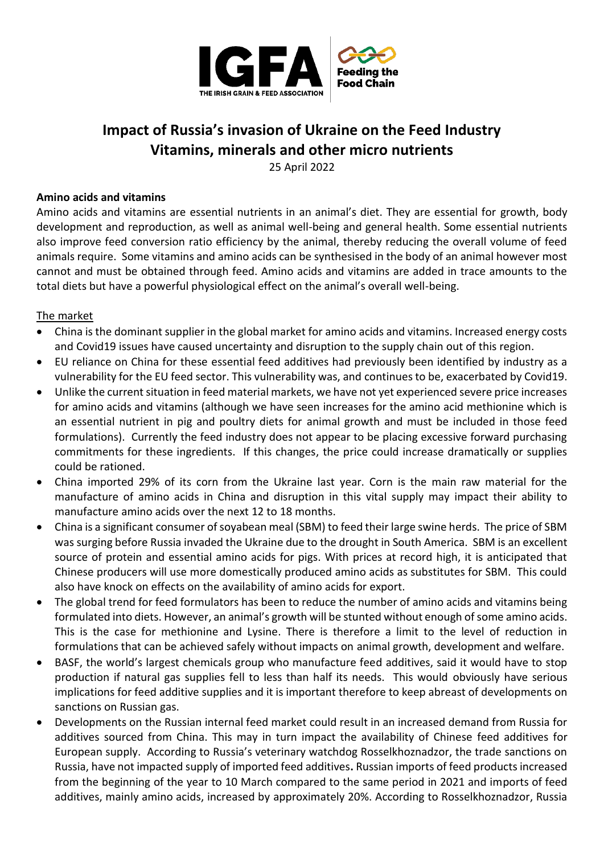

# **Impact of Russia's invasion of Ukraine on the Feed Industry Vitamins, minerals and other micro nutrients**

25 April 2022

### **Amino acids and vitamins**

Amino acids and vitamins are essential nutrients in an animal's diet. They are essential for growth, body development and reproduction, as well as animal well-being and general health. Some essential nutrients also improve feed conversion ratio efficiency by the animal, thereby reducing the overall volume of feed animals require. Some vitamins and amino acids can be synthesised in the body of an animal however most cannot and must be obtained through feed. Amino acids and vitamins are added in trace amounts to the total diets but have a powerful physiological effect on the animal's overall well-being.

## The market

- China is the dominant supplier in the global market for amino acids and vitamins. Increased energy costs and Covid19 issues have caused uncertainty and disruption to the supply chain out of this region.
- EU reliance on China for these essential feed additives had previously been identified by industry as a vulnerability for the EU feed sector. This vulnerability was, and continues to be, exacerbated by Covid19.
- Unlike the current situation in feed material markets, we have not yet experienced severe price increases for amino acids and vitamins (although we have seen increases for the amino acid methionine which is an essential nutrient in pig and poultry diets for animal growth and must be included in those feed formulations). Currently the feed industry does not appear to be placing excessive forward purchasing commitments for these ingredients. If this changes, the price could increase dramatically or supplies could be rationed.
- China imported 29% of its corn from the Ukraine last year. Corn is the main raw material for the manufacture of amino acids in China and disruption in this vital supply may impact their ability to manufacture amino acids over the next 12 to 18 months.
- China is a significant consumer of soyabean meal (SBM) to feed their large swine herds. The price of SBM was surging before Russia invaded the Ukraine due to the drought in South America. SBM is an excellent source of protein and essential amino acids for pigs. With prices at record high, it is anticipated that Chinese producers will use more domestically produced amino acids as substitutes for SBM. This could also have knock on effects on the availability of amino acids for export.
- The global trend for feed formulators has been to reduce the number of amino acids and vitamins being formulated into diets. However, an animal's growth will be stunted without enough of some amino acids. This is the case for methionine and Lysine. There is therefore a limit to the level of reduction in formulations that can be achieved safely without impacts on animal growth, development and welfare.
- BASF, the world's largest chemicals group who manufacture feed additives, said it would have to stop production if natural gas supplies fell to less than half its needs. This would obviously have serious implications for feed additive supplies and it is important therefore to keep abreast of developments on sanctions on Russian gas.
- Developments on the Russian internal feed market could result in an increased demand from Russia for additives sourced from China. This may in turn impact the availability of Chinese feed additives for European supply. According to Russia's veterinary watchdog Rosselkhoznadzor, the trade sanctions on Russia, have not impacted supply of imported feed additives**.** Russian imports of feed products increased from the beginning of the year to 10 March compared to the same period in 2021 and imports of feed additives, mainly amino acids, increased by approximately 20%. According to Rosselkhoznadzor, Russia